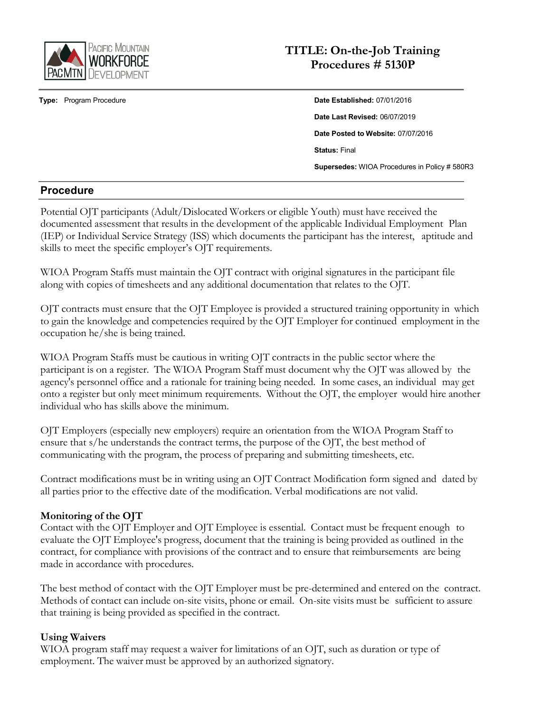

## **TITLE: On-the-Job Training Procedures # 5130P**

**Type:** Program Procedure **Date Established:** 07/01/2016 **Date Last Revised:** 06/07/2019 **Date Posted to Website:** 07/07/2016 **Status:** Final **Supersedes:** WIOA Procedures in Policy # 580R3

### **Procedure**

Potential OJT participants (Adult/Dislocated Workers or eligible Youth) must have received the documented assessment that results in the development of the applicable Individual Employment Plan (IEP) or Individual Service Strategy (ISS) which documents the participant has the interest, aptitude and skills to meet the specific employer's OJT requirements.

WIOA Program Staffs must maintain the OJT contract with original signatures in the participant file along with copies of timesheets and any additional documentation that relates to the OJT.

OJT contracts must ensure that the OJT Employee is provided a structured training opportunity in which to gain the knowledge and competencies required by the OJT Employer for continued employment in the occupation he/she is being trained.

WIOA Program Staffs must be cautious in writing OJT contracts in the public sector where the participant is on a register. The WIOA Program Staff must document why the OJT was allowed by the agency's personnel office and a rationale for training being needed. In some cases, an individual may get onto a register but only meet minimum requirements. Without the OJT, the employer would hire another individual who has skills above the minimum.

OJT Employers (especially new employers) require an orientation from the WIOA Program Staff to ensure that s/he understands the contract terms, the purpose of the OJT, the best method of communicating with the program, the process of preparing and submitting timesheets, etc.

Contract modifications must be in writing using an OJT Contract Modification form signed and dated by all parties prior to the effective date of the modification. Verbal modifications are not valid.

### **Monitoring of the OJT**

Contact with the OJT Employer and OJT Employee is essential. Contact must be frequent enough to evaluate the OJT Employee's progress, document that the training is being provided as outlined in the contract, for compliance with provisions of the contract and to ensure that reimbursements are being made in accordance with procedures.

The best method of contact with the OJT Employer must be pre-determined and entered on the contract. Methods of contact can include on-site visits, phone or email. On-site visits must be sufficient to assure that training is being provided as specified in the contract.

### **Using Waivers**

WIOA program staff may request a waiver for limitations of an OJT, such as duration or type of employment. The waiver must be approved by an authorized signatory.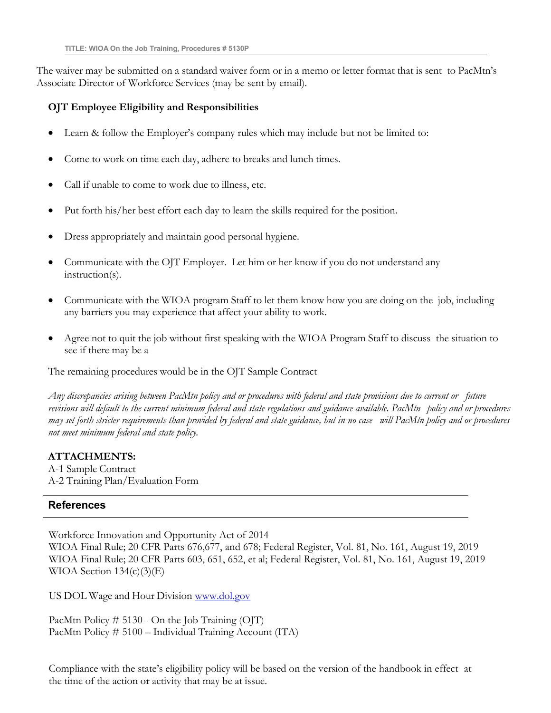The waiver may be submitted on a standard waiver form or in a memo or letter format that is sent to PacMtn's Associate Director of Workforce Services (may be sent by email).

### **OJT Employee Eligibility and Responsibilities**

- Learn & follow the Employer's company rules which may include but not be limited to:
- Come to work on time each day, adhere to breaks and lunch times.
- Call if unable to come to work due to illness, etc.
- Put forth his/her best effort each day to learn the skills required for the position.
- Dress appropriately and maintain good personal hygiene.
- Communicate with the OJT Employer. Let him or her know if you do not understand any instruction(s).
- Communicate with the WIOA program Staff to let them know how you are doing on the job, including any barriers you may experience that affect your ability to work.
- Agree not to quit the job without first speaking with the WIOA Program Staff to discuss the situation to see if there may be a

The remaining procedures would be in the OJT Sample Contract

Any discrepancies arising between PacMtn policy and or procedures with federal and state provisions due to current or future revisions will default to the current minimum federal and state regulations and guidance available. PacMtn policy and or procedures may set forth stricter requirements than provided by federal and state guidance, but in no case will PacMtn policy and or procedures *not meet minimum federal and state policy.*

### **ATTACHMENTS:**

A-1 Sample Contract A-2 Training Plan/Evaluation Form

### **References**

Workforce Innovation and Opportunity Act of 2014 WIOA Final Rule; 20 CFR Parts 676,677, and 678; Federal Register, Vol. 81, No. 161, August 19, 2019 WIOA Final Rule; 20 CFR Parts 603, 651, 652, et al; Federal Register, Vol. 81, No. 161, August 19, 2019 WIOA Section  $134(c)(3)(E)$ 

US DOL Wage and Hour Division [www.dol.gov](http://www.dol.gov/)

PacMtn Policy  $\# 5130$  - On the Job Training (OJT) PacMtn Policy # 5100 – Individual Training Account (ITA)

Compliance with the state's eligibility policy will be based on the version of the handbook in effect at the time of the action or activity that may be at issue.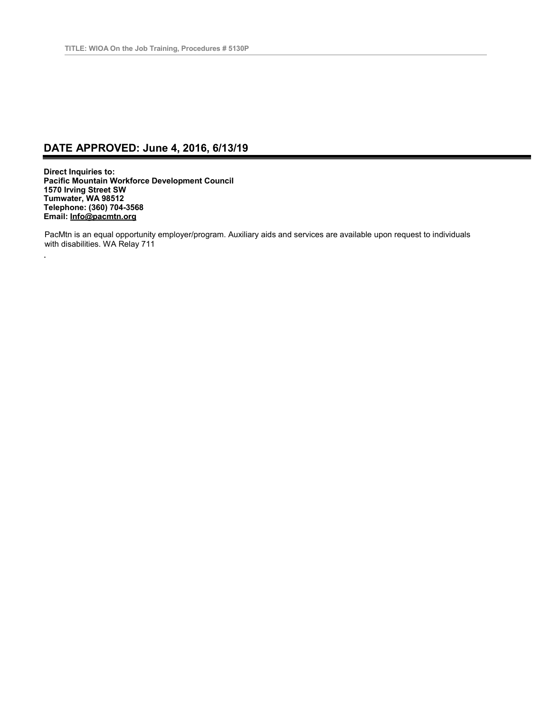## **DATE APPROVED: June 4, 2016, 6/13/19**

**Direct Inquiries to: Pacific Mountain Workforce Development Council 1570 Irving Street SW Tumwater, WA 98512 Telephone: (360) 704-3568 Email: [Info@pacmtn.org](mailto:Info@pacmtn.org)**

.

PacMtn is an equal opportunity employer/program. Auxiliary aids and services are available upon request to individuals with disabilities. WA Relay 711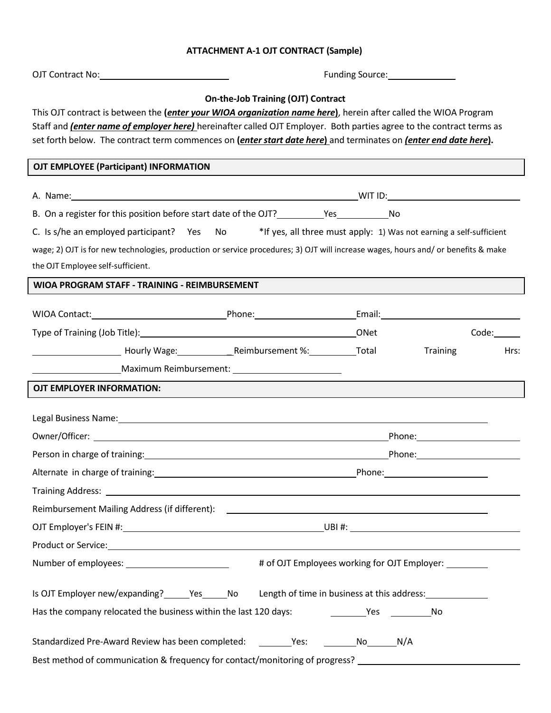### **ATTACHMENT A-1 OJT CONTRACT (Sample)**

|                                                                                                                                                                                                                                                                                                                                                                                                                                           |  | Funding Source: National Property of Tunnel                                                                                                                                                                                    |                                                                                                                                                                                                                                |       |  |
|-------------------------------------------------------------------------------------------------------------------------------------------------------------------------------------------------------------------------------------------------------------------------------------------------------------------------------------------------------------------------------------------------------------------------------------------|--|--------------------------------------------------------------------------------------------------------------------------------------------------------------------------------------------------------------------------------|--------------------------------------------------------------------------------------------------------------------------------------------------------------------------------------------------------------------------------|-------|--|
| <b>On-the-Job Training (OJT) Contract</b><br>This OJT contract is between the ( <i>enter your WIOA organization name here</i> ), herein after called the WIOA Program<br>Staff and <i>(enter name of employer here)</i> hereinafter called OJT Employer. Both parties agree to the contract terms as<br>set forth below. The contract term commences on ( <i>enter start date here</i> ) and terminates on <i>(enter end date here</i> ). |  |                                                                                                                                                                                                                                |                                                                                                                                                                                                                                |       |  |
| OJT EMPLOYEE (Participant) INFORMATION                                                                                                                                                                                                                                                                                                                                                                                                    |  |                                                                                                                                                                                                                                |                                                                                                                                                                                                                                |       |  |
|                                                                                                                                                                                                                                                                                                                                                                                                                                           |  |                                                                                                                                                                                                                                |                                                                                                                                                                                                                                |       |  |
|                                                                                                                                                                                                                                                                                                                                                                                                                                           |  |                                                                                                                                                                                                                                |                                                                                                                                                                                                                                |       |  |
| C. Is s/he an employed participant? Yes No *If yes, all three must apply: 1) Was not earning a self-sufficient                                                                                                                                                                                                                                                                                                                            |  |                                                                                                                                                                                                                                |                                                                                                                                                                                                                                |       |  |
| wage; 2) OJT is for new technologies, production or service procedures; 3) OJT will increase wages, hours and/ or benefits & make                                                                                                                                                                                                                                                                                                         |  |                                                                                                                                                                                                                                |                                                                                                                                                                                                                                |       |  |
| the OJT Employee self-sufficient.                                                                                                                                                                                                                                                                                                                                                                                                         |  |                                                                                                                                                                                                                                |                                                                                                                                                                                                                                |       |  |
| WIOA PROGRAM STAFF - TRAINING - REIMBURSEMENT                                                                                                                                                                                                                                                                                                                                                                                             |  |                                                                                                                                                                                                                                |                                                                                                                                                                                                                                |       |  |
|                                                                                                                                                                                                                                                                                                                                                                                                                                           |  |                                                                                                                                                                                                                                |                                                                                                                                                                                                                                |       |  |
|                                                                                                                                                                                                                                                                                                                                                                                                                                           |  |                                                                                                                                                                                                                                |                                                                                                                                                                                                                                | Code: |  |
| Lackson Library Mage: Lackson Library Mage: Lackson Library Reimbursement %: Lackson Library Total                                                                                                                                                                                                                                                                                                                                        |  |                                                                                                                                                                                                                                | Training                                                                                                                                                                                                                       | Hrs:  |  |
|                                                                                                                                                                                                                                                                                                                                                                                                                                           |  |                                                                                                                                                                                                                                |                                                                                                                                                                                                                                |       |  |
| OJT EMPLOYER INFORMATION:                                                                                                                                                                                                                                                                                                                                                                                                                 |  |                                                                                                                                                                                                                                |                                                                                                                                                                                                                                |       |  |
|                                                                                                                                                                                                                                                                                                                                                                                                                                           |  |                                                                                                                                                                                                                                |                                                                                                                                                                                                                                |       |  |
| Legal Business Name: 1999 Contract Contract Contract Contract Contract Contract Contract Contract Contract Contract Contract Contract Contract Contract Contract Contract Contract Contract Contract Contract Contract Contrac                                                                                                                                                                                                            |  |                                                                                                                                                                                                                                |                                                                                                                                                                                                                                |       |  |
|                                                                                                                                                                                                                                                                                                                                                                                                                                           |  |                                                                                                                                                                                                                                |                                                                                                                                                                                                                                |       |  |
|                                                                                                                                                                                                                                                                                                                                                                                                                                           |  | Person in charge of training: 1990 and 200 million control and 200 million control and 200 million control and 200 million control and 200 million control and 200 million control and 200 million control and 200 million con |                                                                                                                                                                                                                                |       |  |
|                                                                                                                                                                                                                                                                                                                                                                                                                                           |  |                                                                                                                                                                                                                                | Phone: the contract of the contract of the contract of the contract of the contract of the contract of the contract of the contract of the contract of the contract of the contract of the contract of the contract of the con |       |  |
|                                                                                                                                                                                                                                                                                                                                                                                                                                           |  |                                                                                                                                                                                                                                |                                                                                                                                                                                                                                |       |  |
|                                                                                                                                                                                                                                                                                                                                                                                                                                           |  |                                                                                                                                                                                                                                |                                                                                                                                                                                                                                |       |  |
|                                                                                                                                                                                                                                                                                                                                                                                                                                           |  |                                                                                                                                                                                                                                |                                                                                                                                                                                                                                |       |  |
|                                                                                                                                                                                                                                                                                                                                                                                                                                           |  |                                                                                                                                                                                                                                |                                                                                                                                                                                                                                |       |  |
|                                                                                                                                                                                                                                                                                                                                                                                                                                           |  |                                                                                                                                                                                                                                |                                                                                                                                                                                                                                |       |  |
| Is OJT Employer new/expanding? ______Yes ______ No Length of time in business at this address:                                                                                                                                                                                                                                                                                                                                            |  |                                                                                                                                                                                                                                |                                                                                                                                                                                                                                |       |  |
| Has the company relocated the business within the last 120 days:                                                                                                                                                                                                                                                                                                                                                                          |  |                                                                                                                                                                                                                                |                                                                                                                                                                                                                                |       |  |
| Standardized Pre-Award Review has been completed: Yes: No N/A                                                                                                                                                                                                                                                                                                                                                                             |  |                                                                                                                                                                                                                                |                                                                                                                                                                                                                                |       |  |
| Best method of communication & frequency for contact/monitoring of progress?                                                                                                                                                                                                                                                                                                                                                              |  |                                                                                                                                                                                                                                |                                                                                                                                                                                                                                |       |  |

 $\overline{1}$  $\mathbf l$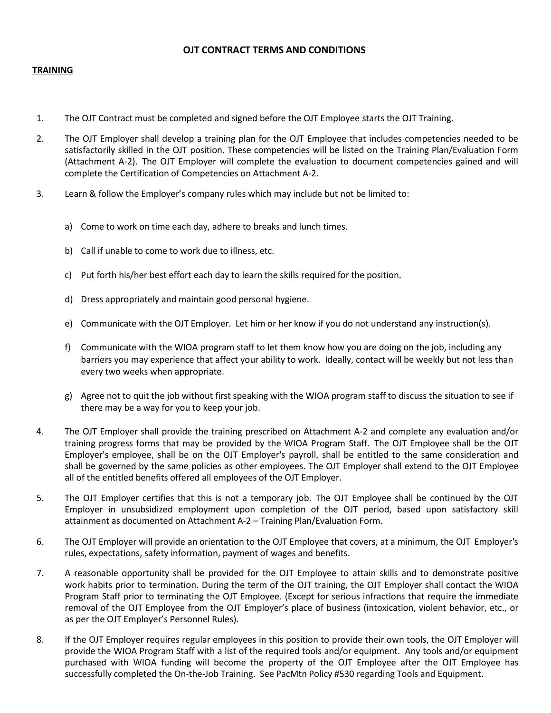#### **OJT CONTRACT TERMS AND CONDITIONS**

#### **TRAINING**

- 1. The OJT Contract must be completed and signed before the OJT Employee starts the OJT Training.
- 2. The OJT Employer shall develop a training plan for the OJT Employee that includes competencies needed to be satisfactorily skilled in the OJT position. These competencies will be listed on the Training Plan/Evaluation Form (Attachment A-2). The OJT Employer will complete the evaluation to document competencies gained and will complete the Certification of Competencies on Attachment A-2.
- 3. Learn & follow the Employer's company rules which may include but not be limited to:
	- a) Come to work on time each day, adhere to breaks and lunch times.
	- b) Call if unable to come to work due to illness, etc.
	- c) Put forth his/her best effort each day to learn the skills required for the position.
	- d) Dress appropriately and maintain good personal hygiene.
	- e) Communicate with the OJT Employer. Let him or her know if you do not understand any instruction(s).
	- f) Communicate with the WIOA program staff to let them know how you are doing on the job, including any barriers you may experience that affect your ability to work. Ideally, contact will be weekly but not less than every two weeks when appropriate.
	- g) Agree not to quit the job without first speaking with the WIOA program staff to discuss the situation to see if there may be a way for you to keep your job.
- 4. The OJT Employer shall provide the training prescribed on Attachment A-2 and complete any evaluation and/or training progress forms that may be provided by the WIOA Program Staff. The OJT Employee shall be the OJT Employer's employee, shall be on the OJT Employer's payroll, shall be entitled to the same consideration and shall be governed by the same policies as other employees. The OJT Employer shall extend to the OJT Employee all of the entitled benefits offered all employees of the OJT Employer.
- 5. The OJT Employer certifies that this is not a temporary job. The OJT Employee shall be continued by the OJT Employer in unsubsidized employment upon completion of the OJT period, based upon satisfactory skill attainment as documented on Attachment A-2 – Training Plan/Evaluation Form.
- 6. The OJT Employer will provide an orientation to the OJT Employee that covers, at a minimum, the OJT Employer's rules, expectations, safety information, payment of wages and benefits.
- 7. A reasonable opportunity shall be provided for the OJT Employee to attain skills and to demonstrate positive work habits prior to termination. During the term of the OJT training, the OJT Employer shall contact the WIOA Program Staff prior to terminating the OJT Employee. (Except for serious infractions that require the immediate removal of the OJT Employee from the OJT Employer's place of business (intoxication, violent behavior, etc., or as per the OJT Employer's Personnel Rules).
- 8. If the OJT Employer requires regular employees in this position to provide their own tools, the OJT Employer will provide the WIOA Program Staff with a list of the required tools and/or equipment. Any tools and/or equipment purchased with WIOA funding will become the property of the OJT Employee after the OJT Employee has successfully completed the On-the-Job Training. See PacMtn Policy #530 regarding Tools and Equipment.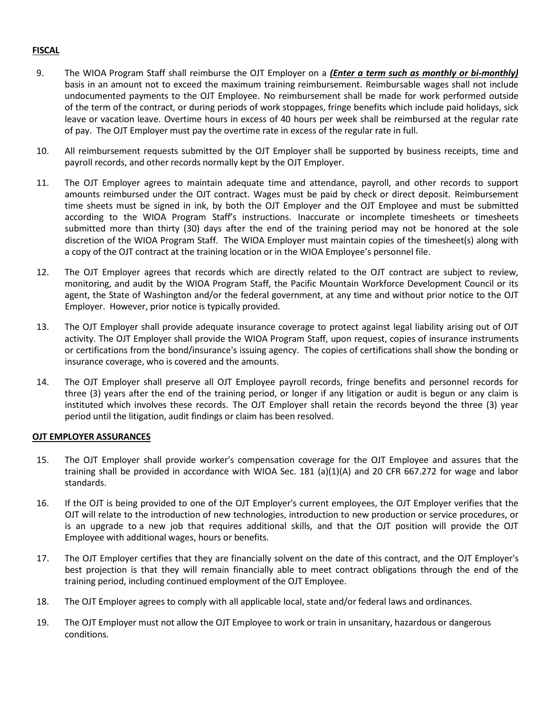#### **FISCAL**

- 9. The WIOA Program Staff shall reimburse the OJT Employer on a *(Enter a term such as monthly or bi-monthly)* basis in an amount not to exceed the maximum training reimbursement. Reimbursable wages shall not include undocumented payments to the OJT Employee. No reimbursement shall be made for work performed outside of the term of the contract, or during periods of work stoppages, fringe benefits which include paid holidays, sick leave or vacation leave. Overtime hours in excess of 40 hours per week shall be reimbursed at the regular rate of pay. The OJT Employer must pay the overtime rate in excess of the regular rate in full.
- 10. All reimbursement requests submitted by the OJT Employer shall be supported by business receipts, time and payroll records, and other records normally kept by the OJT Employer.
- 11. The OJT Employer agrees to maintain adequate time and attendance, payroll, and other records to support amounts reimbursed under the OJT contract. Wages must be paid by check or direct deposit. Reimbursement time sheets must be signed in ink, by both the OJT Employer and the OJT Employee and must be submitted according to the WIOA Program Staff's instructions. Inaccurate or incomplete timesheets or timesheets submitted more than thirty (30) days after the end of the training period may not be honored at the sole discretion of the WIOA Program Staff. The WIOA Employer must maintain copies of the timesheet(s) along with a copy of the OJT contract at the training location or in the WIOA Employee's personnel file.
- 12. The OJT Employer agrees that records which are directly related to the OJT contract are subject to review, monitoring, and audit by the WIOA Program Staff, the Pacific Mountain Workforce Development Council or its agent, the State of Washington and/or the federal government, at any time and without prior notice to the OJT Employer. However, prior notice is typically provided.
- 13. The OJT Employer shall provide adequate insurance coverage to protect against legal liability arising out of OJT activity. The OJT Employer shall provide the WIOA Program Staff, upon request, copies of insurance instruments or certifications from the bond/insurance's issuing agency. The copies of certifications shall show the bonding or insurance coverage, who is covered and the amounts.
- 14. The OJT Employer shall preserve all OJT Employee payroll records, fringe benefits and personnel records for three (3) years after the end of the training period, or longer if any litigation or audit is begun or any claim is instituted which involves these records. The OJT Employer shall retain the records beyond the three (3) year period until the litigation, audit findings or claim has been resolved.

#### **OJT EMPLOYER ASSURANCES**

- 15. The OJT Employer shall provide worker's compensation coverage for the OJT Employee and assures that the training shall be provided in accordance with WIOA Sec. 181 (a)(1)(A) and 20 CFR 667.272 for wage and labor standards.
- 16. If the OJT is being provided to one of the OJT Employer's current employees, the OJT Employer verifies that the OJT will relate to the introduction of new technologies, introduction to new production or service procedures, or is an upgrade to a new job that requires additional skills, and that the OJT position will provide the OJT Employee with additional wages, hours or benefits.
- 17. The OJT Employer certifies that they are financially solvent on the date of this contract, and the OJT Employer's best projection is that they will remain financially able to meet contract obligations through the end of the training period, including continued employment of the OJT Employee.
- 18. The OJT Employer agrees to comply with all applicable local, state and/or federal laws and ordinances.
- 19. The OJT Employer must not allow the OJT Employee to work or train in unsanitary, hazardous or dangerous conditions.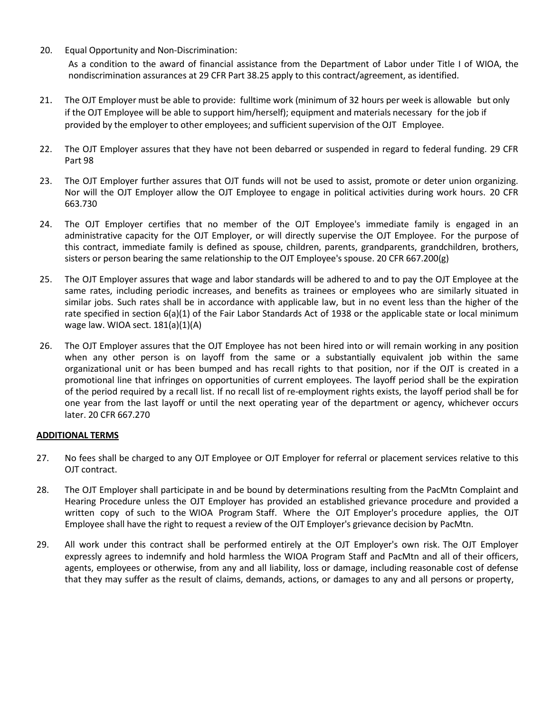20. Equal Opportunity and Non-Discrimination:

As a condition to the award of financial assistance from the Department of Labor under Title I of WIOA, the nondiscrimination assurances at 29 CFR Part 38.25 apply to this contract/agreement, as identified.

- 21. The OJT Employer must be able to provide: fulltime work (minimum of 32 hours per week is allowable but only if the OJT Employee will be able to support him/herself); equipment and materials necessary for the job if provided by the employer to other employees; and sufficient supervision of the OJT Employee.
- 22. The OJT Employer assures that they have not been debarred or suspended in regard to federal funding. 29 CFR Part 98
- 23. The OJT Employer further assures that OJT funds will not be used to assist, promote or deter union organizing. Nor will the OJT Employer allow the OJT Employee to engage in political activities during work hours. 20 CFR 663.730
- 24. The OJT Employer certifies that no member of the OJT Employee's immediate family is engaged in an administrative capacity for the OJT Employer, or will directly supervise the OJT Employee. For the purpose of this contract, immediate family is defined as spouse, children, parents, grandparents, grandchildren, brothers, sisters or person bearing the same relationship to the OJT Employee's spouse. 20 CFR 667.200(g)
- 25. The OJT Employer assures that wage and labor standards will be adhered to and to pay the OJT Employee at the same rates, including periodic increases, and benefits as trainees or employees who are similarly situated in similar jobs. Such rates shall be in accordance with applicable law, but in no event less than the higher of the rate specified in section 6(a)(1) of the Fair Labor Standards Act of 1938 or the applicable state or local minimum wage law. WIOA sect. 181(a)(1)(A)
- 26. The OJT Employer assures that the OJT Employee has not been hired into or will remain working in any position when any other person is on layoff from the same or a substantially equivalent job within the same organizational unit or has been bumped and has recall rights to that position, nor if the OJT is created in a promotional line that infringes on opportunities of current employees. The layoff period shall be the expiration of the period required by a recall list. If no recall list of re-employment rights exists, the layoff period shall be for one year from the last layoff or until the next operating year of the department or agency, whichever occurs later. 20 CFR 667.270

#### **ADDITIONAL TERMS**

- 27. No fees shall be charged to any OJT Employee or OJT Employer for referral or placement services relative to this OJT contract.
- 28. The OJT Employer shall participate in and be bound by determinations resulting from the PacMtn Complaint and Hearing Procedure unless the OJT Employer has provided an established grievance procedure and provided a written copy of such to the WIOA Program Staff. Where the OJT Employer's procedure applies, the OJT Employee shall have the right to request a review of the OJT Employer's grievance decision by PacMtn.
- 29. All work under this contract shall be performed entirely at the OJT Employer's own risk. The OJT Employer expressly agrees to indemnify and hold harmless the WIOA Program Staff and PacMtn and all of their officers, agents, employees or otherwise, from any and all liability, loss or damage, including reasonable cost of defense that they may suffer as the result of claims, demands, actions, or damages to any and all persons or property,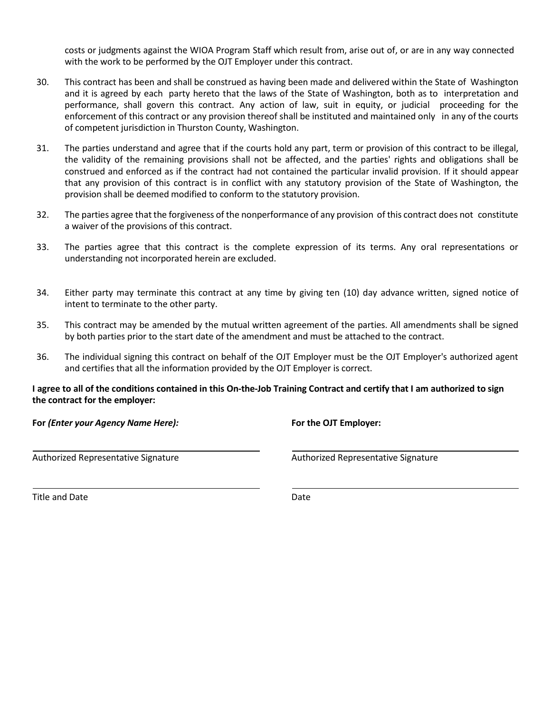costs or judgments against the WIOA Program Staff which result from, arise out of, or are in any way connected with the work to be performed by the OJT Employer under this contract.

- 30. This contract has been and shall be construed as having been made and delivered within the State of Washington and it is agreed by each party hereto that the laws of the State of Washington, both as to interpretation and performance, shall govern this contract. Any action of law, suit in equity, or judicial proceeding for the enforcement of this contract or any provision thereof shall be instituted and maintained only in any of the courts of competent jurisdiction in Thurston County, Washington.
- 31. The parties understand and agree that if the courts hold any part, term or provision of this contract to be illegal, the validity of the remaining provisions shall not be affected, and the parties' rights and obligations shall be construed and enforced as if the contract had not contained the particular invalid provision. If it should appear that any provision of this contract is in conflict with any statutory provision of the State of Washington, the provision shall be deemed modified to conform to the statutory provision.
- 32. The parties agree that the forgiveness of the nonperformance of any provision of this contract does not constitute a waiver of the provisions of this contract.
- 33. The parties agree that this contract is the complete expression of its terms. Any oral representations or understanding not incorporated herein are excluded.
- 34. Either party may terminate this contract at any time by giving ten (10) day advance written, signed notice of intent to terminate to the other party.
- 35. This contract may be amended by the mutual written agreement of the parties. All amendments shall be signed by both parties prior to the start date of the amendment and must be attached to the contract.
- 36. The individual signing this contract on behalf of the OJT Employer must be the OJT Employer's authorized agent and certifies that all the information provided by the OJT Employer is correct.

#### I agree to all of the conditions contained in this On-the-Job Training Contract and certify that I am authorized to sign **the contract for the employer:**

**For** *(Enter your Agency Name Here):* **For the OJT Employer:**

Authorized Representative Signature Authorized Representative Signature

Title and Date Date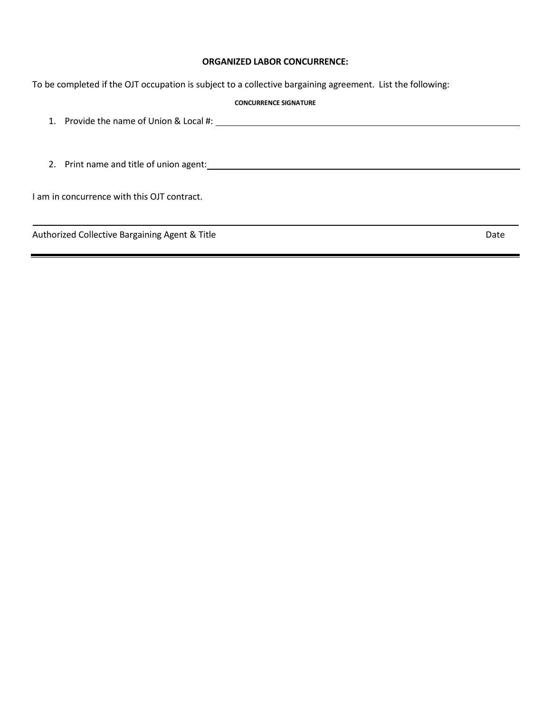#### **ORGANIZED LABOR CONCURRENCE:**

To be completed if the OJT occupation is subject to a collective bargaining agreement. List the following:

#### **CONCURRENCE SIGNATURE**

1. Provide the name of Union & Local #:

2. Print name and title of union agent:

I am in concurrence with this OJT contract.

Authorized Collective Bargaining Agent & Title **Date of Collective Bargaining Agent & Title** Date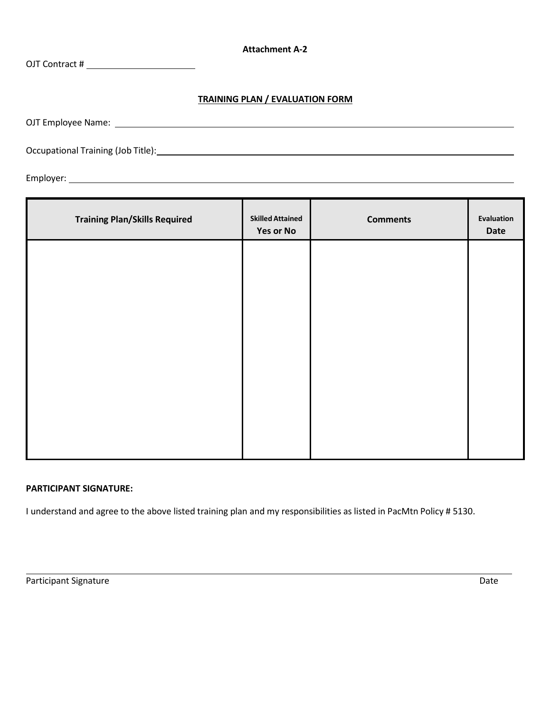**Attachment A-2**

OJT Contract #

### **TRAINING PLAN / EVALUATION FORM**

OJT Employee Name:

Occupational Training (Job Title):

Employer:

| <b>Training Plan/Skills Required</b> | <b>Skilled Attained</b><br><b>Yes or No</b> | <b>Comments</b> | Evaluation<br>Date |
|--------------------------------------|---------------------------------------------|-----------------|--------------------|
|                                      |                                             |                 |                    |
|                                      |                                             |                 |                    |
|                                      |                                             |                 |                    |
|                                      |                                             |                 |                    |
|                                      |                                             |                 |                    |
|                                      |                                             |                 |                    |

#### **PARTICIPANT SIGNATURE:**

I understand and agree to the above listed training plan and my responsibilities as listed in PacMtn Policy # 5130.